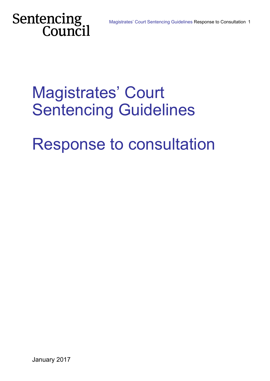# Sentencing<br>Council

# Magistrates' Court Sentencing Guidelines

# Response to consultation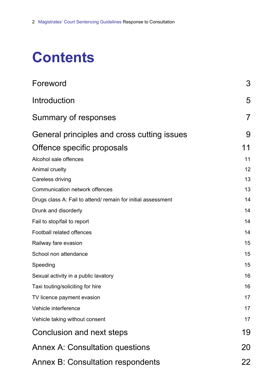# **Contents**

| Foreword                                                     | 3  |
|--------------------------------------------------------------|----|
| Introduction                                                 | 5  |
| Summary of responses                                         | 7  |
| General principles and cross cutting issues                  | 9  |
| Offence specific proposals                                   | 11 |
| Alcohol sale offences                                        | 11 |
| Animal cruelty                                               | 12 |
| Careless driving                                             | 13 |
| Communication network offences                               | 13 |
| Drugs class A: Fail to attend/ remain for initial assessment | 14 |
| Drunk and disorderly                                         | 14 |
| Fail to stop/fail to report                                  | 14 |
| Football related offences                                    | 14 |
| Railway fare evasion                                         | 15 |
| School non attendance                                        | 15 |
| Speeding                                                     | 15 |
| Sexual activity in a public lavatory                         | 16 |
| Taxi touting/soliciting for hire                             | 16 |
| TV licence payment evasion                                   | 17 |
| Vehicle interference                                         | 17 |
| Vehicle taking without consent                               | 17 |
| Conclusion and next steps                                    | 19 |
| <b>Annex A: Consultation questions</b>                       | 20 |
| <b>Annex B: Consultation respondents</b>                     | 22 |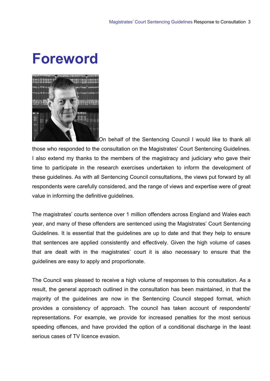# <span id="page-2-0"></span>**Foreword**



On behalf of the Sentencing Council I would like to thank all those who responded to the consultation on the Magistrates' Court Sentencing Guidelines. I also extend my thanks to the members of the magistracy and judiciary who gave their time to participate in the research exercises undertaken to inform the development of these guidelines. As with all Sentencing Council consultations, the views put forward by all respondents were carefully considered, and the range of views and expertise were of great value in informing the definitive guidelines.

The magistrates' courts sentence over 1 million offenders across England and Wales each year, and many of these offenders are sentenced using the Magistrates' Court Sentencing Guidelines. It is essential that the guidelines are up to date and that they help to ensure that sentences are applied consistently and effectively. Given the high volume of cases that are dealt with in the magistrates' court it is also necessary to ensure that the guidelines are easy to apply and proportionate.

The Council was pleased to receive a high volume of responses to this consultation. As a result, the general approach outlined in the consultation has been maintained, in that the majority of the guidelines are now in the Sentencing Council stepped format, which provides a consistency of approach. The council has taken account of respondents' representations. For example, we provide for increased penalties for the most serious speeding offences, and have provided the option of a conditional discharge in the least serious cases of TV licence evasion.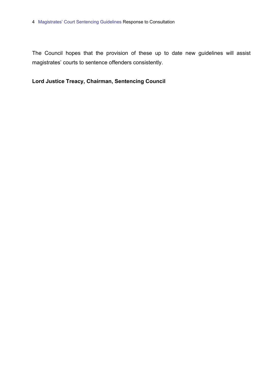The Council hopes that the provision of these up to date new guidelines will assist magistrates' courts to sentence offenders consistently.

# **Lord Justice Treacy, Chairman, Sentencing Council**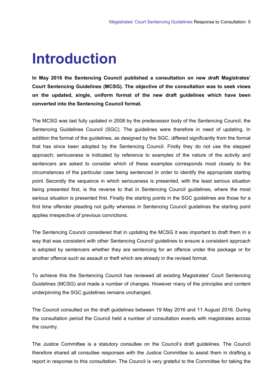# <span id="page-4-0"></span>**Introduction**

**In May 2016 the Sentencing Council published a consultation on new draft Magistrates' Court Sentencing Guidelines (MCSG). The objective of the consultation was to seek views on the updated, single, uniform format of the new draft guidelines which have been converted into the Sentencing Council format.** 

The MCSG was last fully updated in 2008 by the predecessor body of the Sentencing Council, the Sentencing Guidelines Council (SGC). The guidelines were therefore in need of updating. In addition the format of the guidelines, as designed by the SGC, differed significantly from the format that has since been adopted by the Sentencing Council. Firstly they do not use the stepped approach; seriousness is indicated by reference to examples of the nature of the activity and sentencers are asked to consider which of these examples corresponds most closely to the circumstances of the particular case being sentenced in order to identify the appropriate starting point. Secondly the sequence in which seriousness is presented, with the least serious situation being presented first, is the reverse to that in Sentencing Council guidelines, where the most serious situation is presented first. Finally the starting points in the SGC guidelines are those for a first time offender pleading not guilty whereas in Sentencing Council guidelines the starting point applies irrespective of previous convictions.

The Sentencing Council considered that in updating the MCSG it was important to draft them in a way that was consistent with other Sentencing Council guidelines to ensure a consistent approach is adopted by sentencers whether they are sentencing for an offence under this package or for another offence such as assault or theft which are already in the revised format.

To achieve this the Sentencing Council has reviewed all existing Magistrates' Court Sentencing Guidelines (MCSG) and made a number of changes. However many of the principles and content underpinning the SGC guidelines remains unchanged.

The Council consulted on the draft guidelines between 19 May 2016 and 11 August 2016. During the consultation period the Council held a number of consultation events with magistrates across the country.

The Justice Committee is a statutory consultee on the Council's draft guidelines. The Council therefore shared all consultee responses with the Justice Committee to assist them in drafting a report in response to this consultation. The Council is very grateful to the Committee for taking the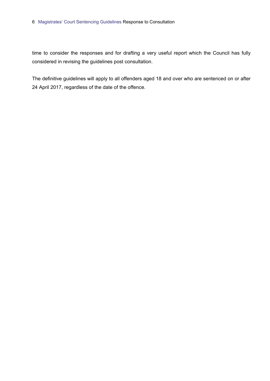#### 6 Magistrates' Court Sentencing Guidelines Response to Consultation

time to consider the responses and for drafting a very useful report which the Council has fully considered in revising the guidelines post consultation.

The definitive guidelines will apply to all offenders aged 18 and over who are sentenced on or after 24 April 2017, regardless of the date of the offence.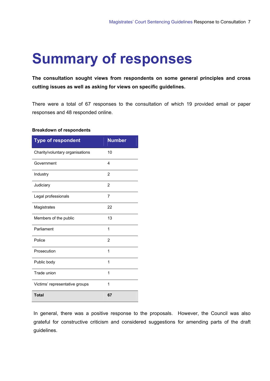# <span id="page-6-0"></span>**Summary of responses**

**The consultation sought views from respondents on some general principles and cross cutting issues as well as asking for views on specific guidelines.** 

There were a total of 67 responses to the consultation of which 19 provided email or paper responses and 48 responded online.

#### **Breakdown of respondents**

| <b>Type of respondent</b>       | <b>Number</b>  |
|---------------------------------|----------------|
| Charity/voluntary organisations | 10             |
| Government                      | $\overline{4}$ |
| Industry                        | $\overline{2}$ |
| Judiciary                       | $\overline{2}$ |
| Legal professionals             | 7              |
| Magistrates                     | 22             |
| Members of the public           | 13             |
| Parliament                      | 1              |
| Police                          | $\overline{2}$ |
| Prosecution                     | 1              |
| Public body                     | 1              |
| Trade union                     | 1              |
| Victims' representative groups  | 1              |
| <b>Total</b>                    | 67             |

In general, there was a positive response to the proposals. However, the Council was also grateful for constructive criticism and considered suggestions for amending parts of the draft guidelines.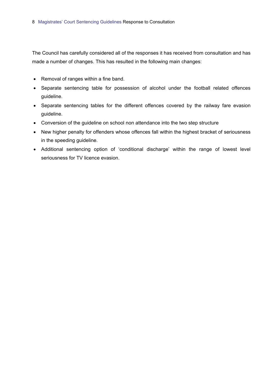The Council has carefully considered all of the responses it has received from consultation and has made a number of changes. This has resulted in the following main changes:

- Removal of ranges within a fine band.
- Separate sentencing table for possession of alcohol under the football related offences guideline.
- Separate sentencing tables for the different offences covered by the railway fare evasion guideline.
- Conversion of the guideline on school non attendance into the two step structure
- New higher penalty for offenders whose offences fall within the highest bracket of seriousness in the speeding guideline.
- Additional sentencing option of 'conditional discharge' within the range of lowest level seriousness for TV licence evasion.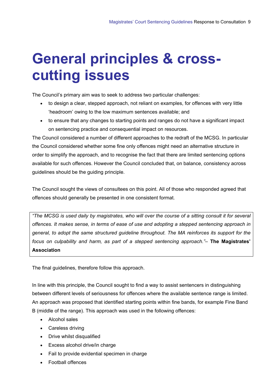# <span id="page-8-0"></span>**General principles & crosscutting issues**

The Council's primary aim was to seek to address two particular challenges:

- to design a clear, stepped approach, not reliant on examples, for offences with very little 'headroom' owing to the low maximum sentences available; and
- to ensure that any changes to starting points and ranges do not have a significant impact on sentencing practice and consequential impact on resources.

The Council considered a number of different approaches to the redraft of the MCSG. In particular the Council considered whether some fine only offences might need an alternative structure in order to simplify the approach, and to recognise the fact that there are limited sentencing options available for such offences. However the Council concluded that, on balance, consistency across guidelines should be the guiding principle.

The Council sought the views of consultees on this point. All of those who responded agreed that offences should generally be presented in one consistent format.

*"The MCSG is used daily by magistrates, who will over the course of a sitting consult it for several offences. It makes sense, in terms of ease of use and adopting a stepped sentencing approach in general, to adopt the same structured guideline throughout. The MA reinforces its support for the focus on culpability and harm, as part of a stepped sentencing approach."–* **The Magistrates' Association**

The final guidelines, therefore follow this approach.

In line with this principle, the Council sought to find a way to assist sentencers in distinguishing between different levels of seriousness for offences where the available sentence range is limited. An approach was proposed that identified starting points within fine bands, for example Fine Band B (middle of the range). This approach was used in the following offences:

- Alcohol sales
- Careless driving
- Drive whilst disqualified
- Excess alcohol drive/in charge
- Fail to provide evidential specimen in charge
- Football offences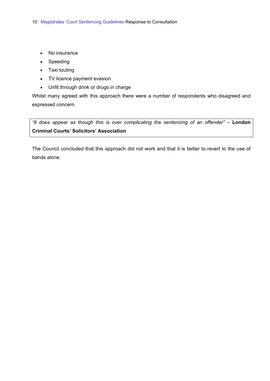- No insurance
- Speeding
- Taxi touting
- TV licence payment evasion
- Unfit through drink or drugs in charge

Whilst many agreed with this approach there were a number of respondents who disagreed and expressed concern.

*"It does appear as though this is over complicating the sentencing of an offender"* – **London Criminal Courts' Solicitors' Association**

The Council concluded that this approach did not work and that it is better to revert to the use of bands alone.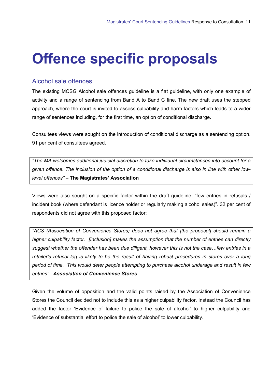# <span id="page-10-0"></span>**Offence specific proposals**

# Alcohol sale offences

The existing MCSG Alcohol sale offences guideline is a flat guideline, with only one example of activity and a range of sentencing from Band A to Band C fine. The new draft uses the stepped approach, where the court is invited to assess culpability and harm factors which leads to a wider range of sentences including, for the first time, an option of conditional discharge.

Consultees views were sought on the introduction of conditional discharge as a sentencing option. 91 per cent of consultees agreed.

*"The MA welcomes additional judicial discretion to take individual circumstances into account for a given offence. The inclusion of the option of a conditional discharge is also in line with other lowlevel offences"* – **The Magistrates' Association**

Views were also sought on a specific factor within the draft guideline; "few entries in refusals / incident book (where defendant is licence holder or regularly making alcohol sales)". 32 per cent of respondents did not agree with this proposed factor:

*"ACS (Association of Convenience Stores) does not agree that [the proposal] should remain a higher culpability factor. [Inclusion] makes the assumption that the number of entries can directly suggest whether the offender has been due diligent, however this is not the case…few entries in a retailer's refusal log is likely to be the result of having robust procedures in stores over a long period of time. This would deter people attempting to purchase alcohol underage and result in few entries" - Association of Convenience Stores*

Given the volume of opposition and the valid points raised by the Association of Convenience Stores the Council decided not to include this as a higher culpability factor. Instead the Council has added the factor 'Evidence of failure to police the sale of alcohol' to higher culpability and 'Evidence of substantial effort to police the sale of alcohol' to lower culpability.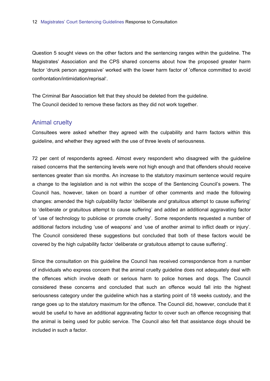<span id="page-11-0"></span>Question 5 sought views on the other factors and the sentencing ranges within the guideline. The Magistrates' Association and the CPS shared concerns about how the proposed greater harm factor 'drunk person aggressive' worked with the lower harm factor of 'offence committed to avoid confrontation/intimidation/reprisal'.

The Criminal Bar Association felt that they should be deleted from the guideline. The Council decided to remove these factors as they did not work together.

### Animal cruelty

Consultees were asked whether they agreed with the culpability and harm factors within this guideline, and whether they agreed with the use of three levels of seriousness.

72 per cent of respondents agreed. Almost every respondent who disagreed with the guideline raised concerns that the sentencing levels were not high enough and that offenders should receive sentences greater than six months. An increase to the statutory maximum sentence would require a change to the legislation and is not within the scope of the Sentencing Council's powers. The Council has, however, taken on board a number of other comments and made the following changes: amended the high culpability factor 'deliberate *and* gratuitous attempt to cause suffering' to 'deliberate *or* gratuitous attempt to cause suffering' and added an additional aggravating factor of 'use of technology to publicise or promote cruelty'. Some respondents requested a number of additional factors including 'use of weapons' and 'use of another animal to inflict death or injury'. The Council considered these suggestions but concluded that both of these factors would be covered by the high culpability factor 'deliberate or gratuitous attempt to cause suffering'.

Since the consultation on this guideline the Council has received correspondence from a number of individuals who express concern that the animal cruelty guideline does not adequately deal with the offences which involve death or serious harm to police horses and dogs. The Council considered these concerns and concluded that such an offence would fall into the highest seriousness category under the guideline which has a starting point of 18 weeks custody, and the range goes up to the statutory maximum for the offence. The Council did, however, conclude that it would be useful to have an additional aggravating factor to cover such an offence recognising that the animal is being used for public service. The Council also felt that assistance dogs should be included in such a factor.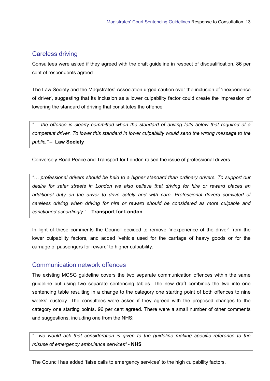# <span id="page-12-0"></span>Careless driving

Consultees were asked if they agreed with the draft guideline in respect of disqualification. 86 per cent of respondents agreed.

The Law Society and the Magistrates' Association urged caution over the inclusion of 'inexperience of driver', suggesting that its inclusion as a lower culpability factor could create the impression of lowering the standard of driving that constitutes the offence.

*"… the offence is clearly committed when the standard of driving falls below that required of a competent driver. To lower this standard in lower culpability would send the wrong message to the public."* –**Law Society**

Conversely Road Peace and Transport for London raised the issue of professional drivers.

*"… professional drivers should be held to a higher standard than ordinary drivers. To support our desire for safer streets in London we also believe that driving for hire or reward places an additional duty on the driver to drive safely and with care. Professional drivers convicted of careless driving when driving for hire or reward should be considered as more culpable and sanctioned accordingly."* – **Transport for London**

In light of these comments the Council decided to remove 'inexperience of the driver' from the lower culpability factors, and added 'vehicle used for the carriage of heavy goods or for the carriage of passengers for reward' to higher culpability.

# Communication network offences

The existing MCSG guideline covers the two separate communication offences within the same guideline but using two separate sentencing tables. The new draft combines the two into one sentencing table resulting in a change to the category one starting point of both offences to nine weeks' custody. The consultees were asked if they agreed with the proposed changes to the category one starting points. 96 per cent agreed. There were a small number of other comments and suggestions, including one from the NHS:

*"…we would ask that consideration is given to the guideline making specific reference to the misuse of emergency ambulance services"* - **NHS**

The Council has added 'false calls to emergency services' to the high culpability factors.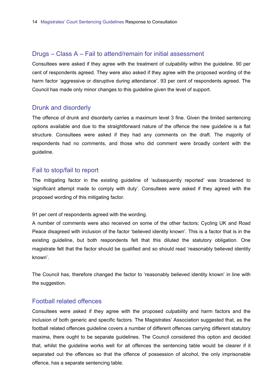### <span id="page-13-0"></span>Drugs – Class A – Fail to attend/remain for initial assessment

Consultees were asked if they agree with the treatment of culpability within the guideline. 90 per cent of respondents agreed. They were also asked if they agree with the proposed wording of the harm factor 'aggressive or disruptive during attendance'. 93 per cent of respondents agreed. The Council has made only minor changes to this guideline given the level of support.

### Drunk and disorderly

The offence of drunk and disorderly carries a maximum level 3 fine. Given the limited sentencing options available and due to the straightforward nature of the offence the new guideline is a flat structure. Consultees were asked if they had any comments on the draft. The majority of respondents had no comments, and those who did comment were broadly content with the guideline.

### Fail to stop/fail to report

The mitigating factor in the existing guideline of 'subsequently reported' was broadened to 'significant attempt made to comply with duty'. Consultees were asked if they agreed with the proposed wording of this mitigating factor.

91 per cent of respondents agreed with the wording.

A number of comments were also received on some of the other factors; Cycling UK and Road Peace disagreed with inclusion of the factor 'believed identity known'. This is a factor that is in the existing guideline, but both respondents felt that this diluted the statutory obligation. One magistrate felt that the factor should be qualified and so should read 'reasonably believed identity known'.

The Council has, therefore changed the factor to 'reasonably believed identity known' in line with the suggestion.

#### Football related offences

Consultees were asked if they agree with the proposed culpability and harm factors and the inclusion of both generic and specific factors. The Magistrates' Association suggested that, as the football related offences guideline covers a number of different offences carrying different statutory maxima, there ought to be separate guidelines. The Council considered this option and decided that, whilst the guideline works well for all offences the sentencing table would be clearer if it separated out the offences so that the offence of possession of alcohol, the only imprisonable offence, has a separate sentencing table.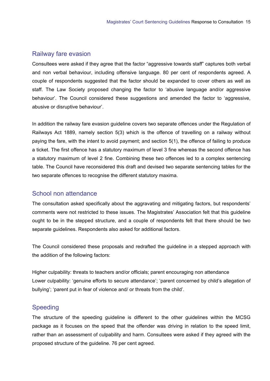### <span id="page-14-0"></span>Railway fare evasion

Consultees were asked if they agree that the factor "aggressive towards staff" captures both verbal and non verbal behaviour, including offensive language. 80 per cent of respondents agreed. A couple of respondents suggested that the factor should be expanded to cover others as well as staff. The Law Society proposed changing the factor to 'abusive language and/or aggressive behaviour'. The Council considered these suggestions and amended the factor to 'aggressive, abusive or disruptive behaviour'.

In addition the railway fare evasion guideline covers two separate offences under the Regulation of Railways Act 1889, namely section 5(3) which is the offence of travelling on a railway without paying the fare, with the intent to avoid payment; and section 5(1), the offence of failing to produce a ticket. The first offence has a statutory maximum of level 3 fine whereas the second offence has a statutory maximum of level 2 fine. Combining these two offences led to a complex sentencing table. The Council have reconsidered this draft and devised two separate sentencing tables for the two separate offences to recognise the different statutory maxima.

# School non attendance

The consultation asked specifically about the aggravating and mitigating factors, but respondents' comments were not restricted to these issues. The Magistrates' Association felt that this guideline ought to be in the stepped structure, and a couple of respondents felt that there should be two separate guidelines. Respondents also asked for additional factors.

The Council considered these proposals and redrafted the guideline in a stepped approach with the addition of the following factors:

Higher culpability: threats to teachers and/or officials; parent encouraging non attendance Lower culpability: 'genuine efforts to secure attendance'; 'parent concerned by child's allegation of bullying'; 'parent put in fear of violence and/ or threats from the child'.

### Speeding

The structure of the speeding guideline is different to the other guidelines within the MCSG package as it focuses on the speed that the offender was driving in relation to the speed limit, rather than an assessment of culpability and harm. Consultees were asked if they agreed with the proposed structure of the guideline. 76 per cent agreed.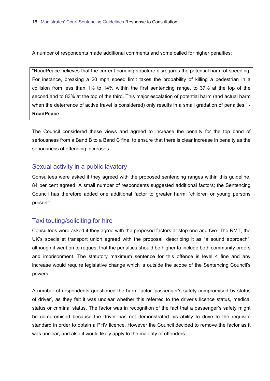<span id="page-15-0"></span>A number of respondents made additional comments and some called for higher penalties:

"RoadPeace believes that the current banding structure disregards the potential harm of speeding. For instance, breaking a 20 mph speed limit takes the probability of killing a pedestrian in a collision from less than 1% to 14% within the first sentencing range, to 37% at the top of the second and to 83% at the top of the third. This major escalation of potential harm (and actual harm when the deterrence of active travel is considered) only results in a small gradation of penalties." -**RoadPeace**

The Council considered these views and agreed to increase the penalty for the top band of seriousness from a Band B to a Band C fine, to ensure that there is clear increase in penalty as the seriousness of offending increases.

### Sexual activity in a public lavatory

Consultees were asked if they agreed with the proposed sentencing ranges within this guideline. 84 per cent agreed. A small number of respondents suggested additional factors; the Sentencing Council has therefore added one additional factor to greater harm: 'children or young persons present'.

# Taxi touting/soliciting for hire

Consultees were asked if they agree with the proposed factors at step one and two. The RMT, the UK's specialist transport union agreed with the proposal, describing it as "a sound approach", although it went on to request that the penalties should be higher to include both community orders and imprisonment. The statutory maximum sentence for this offence is level 4 fine and any increase would require legislative change which is outside the scope of the Sentencing Council's powers.

A number of respondents questioned the harm factor 'passenger's safety compromised by status of driver', as they felt it was unclear whether this referred to the driver's licence status, medical status or criminal status. The factor was in recognition of the fact that a passenger's safety might be compromised because the driver has not demonstrated his ability to drive to the requisite standard in order to obtain a PHV licence. However the Council decided to remove the factor as it was unclear, and also it would likely apply to the majority of offenders.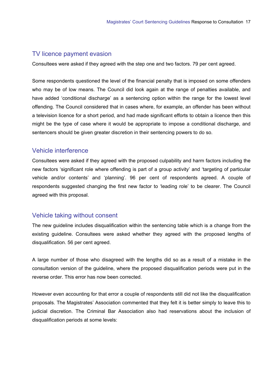### <span id="page-16-0"></span>TV licence payment evasion

Consultees were asked if they agreed with the step one and two factors. 79 per cent agreed.

Some respondents questioned the level of the financial penalty that is imposed on some offenders who may be of low means. The Council did look again at the range of penalties available, and have added 'conditional discharge' as a sentencing option within the range for the lowest level offending. The Council considered that in cases where, for example, an offender has been without a television licence for a short period, and had made significant efforts to obtain a licence then this might be the type of case where it would be appropriate to impose a conditional discharge, and sentencers should be given greater discretion in their sentencing powers to do so.

### Vehicle interference

Consultees were asked if they agreed with the proposed culpability and harm factors including the new factors 'significant role where offending is part of a group activity' and 'targeting of particular vehicle and/or contents' and 'planning'. 96 per cent of respondents agreed. A couple of respondents suggested changing the first new factor to 'leading role' to be clearer. The Council agreed with this proposal.

### Vehicle taking without consent

The new guideline includes disqualification within the sentencing table which is a change from the existing guideline. Consultees were asked whether they agreed with the proposed lengths of disqualification. 56 per cent agreed.

A large number of those who disagreed with the lengths did so as a result of a mistake in the consultation version of the guideline, where the proposed disqualification periods were put in the reverse order. This error has now been corrected.

However even accounting for that error a couple of respondents still did not like the disqualification proposals. The Magistrates' Association commented that they felt it is better simply to leave this to judicial discretion. The Criminal Bar Association also had reservations about the inclusion of disqualification periods at some levels: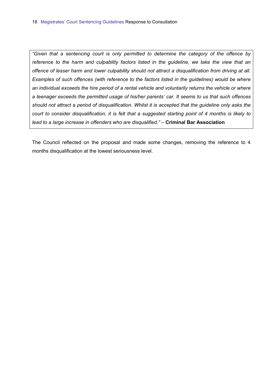*"Given that a sentencing court is only permitted to determine the category of the offence by reference to the harm and culpability factors listed in the guideline, we take the view that an offence of lesser harm and lower culpability should not attract a disqualification from driving at all. Examples of such offences (with reference to the factors listed in the guidelines) would be where an individual exceeds the hire period of a rental vehicle and voluntarily returns the vehicle or where a teenager exceeds the permitted usage of his/her parents' car. It seems to us that such offences should not attract a period of disqualification. Whilst it is accepted that the guideline only asks the court to consider disqualification, it is felt that a suggested starting point of 4 months is likely to lead to a large increase in offenders who are disqualified."* – **Criminal Bar Association**

The Council reflected on the proposal and made some changes, removing the reference to 4 months disqualification at the lowest seriousness level.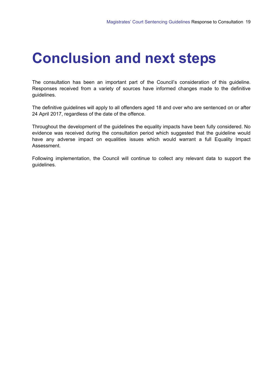# <span id="page-18-0"></span>**Conclusion and next steps**

The consultation has been an important part of the Council's consideration of this guideline. Responses received from a variety of sources have informed changes made to the definitive guidelines.

The definitive guidelines will apply to all offenders aged 18 and over who are sentenced on or after 24 April 2017, regardless of the date of the offence.

Throughout the development of the guidelines the equality impacts have been fully considered. No evidence was received during the consultation period which suggested that the guideline would have any adverse impact on equalities issues which would warrant a full Equality Impact Assessment.

Following implementation, the Council will continue to collect any relevant data to support the guidelines.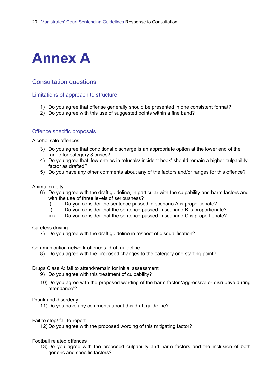<span id="page-19-0"></span>

# Consultation questions

#### Limitations of approach to structure

- 1) Do you agree that offense generally should be presented in one consistent format?
- 2) Do you agree with this use of suggested points within a fine band?

#### Offence specific proposals

Alcohol sale offences

- 3) Do you agree that conditional discharge is an appropriate option at the lower end of the range for category 3 cases?
- 4) Do you agree that 'few entries in refusals/ incident book' should remain a higher culpability factor as drafted?
- 5) Do you have any other comments about any of the factors and/or ranges for this offence?

#### Animal cruelty

- 6) Do you agree with the draft guideline, in particular with the culpability and harm factors and with the use of three levels of seriousness?
	- i) Do you consider the sentence passed in scenario A is proportionate?
	- ii) Do you consider that the sentence passed in scenario B is proportionate?
	- iii) Do you consider that the sentence passed in scenario C is proportionate?

#### Careless driving

7) Do you agree with the draft guideline in respect of disqualification?

Communication network offences: draft guideline

8) Do you agree with the proposed changes to the category one starting point?

#### Drugs Class A: fail to attend/remain for initial assessment

- 9) Do you agree with this treatment of culpability?
- 10) Do you agree with the proposed wording of the harm factor 'aggressive or disruptive during attendance'?

#### Drunk and disorderly

11) Do you have any comments about this draft guideline?

#### Fail to stop/ fail to report

12) Do you agree with the proposed wording of this mitigating factor?

#### Football related offences

13) Do you agree with the proposed culpability and harm factors and the inclusion of both generic and specific factors?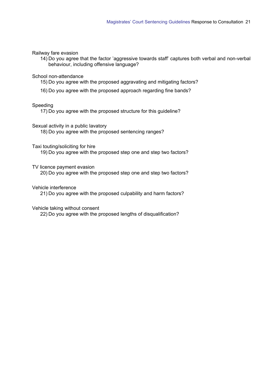#### Railway fare evasion

14) Do you agree that the factor 'aggressive towards staff' captures both verbal and non-verbal behaviour, including offensive language?

#### School non-attendance

15) Do you agree with the proposed aggravating and mitigating factors?

16) Do you agree with the proposed approach regarding fine bands?

#### Speeding

17) Do you agree with the proposed structure for this guideline?

Sexual activity in a public lavatory

18) Do you agree with the proposed sentencing ranges?

#### Taxi touting/soliciting for hire

19) Do you agree with the proposed step one and step two factors?

#### TV licence payment evasion

20) Do you agree with the proposed step one and step two factors?

#### Vehicle interference

21) Do you agree with the proposed culpability and harm factors?

#### Vehicle taking without consent

22) Do you agree with the proposed lengths of disqualification?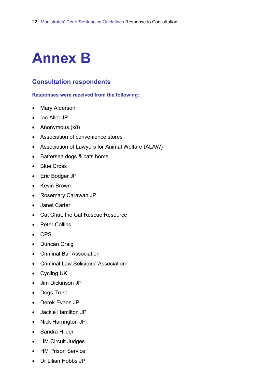# <span id="page-21-0"></span>**Annex B**

# **Consultation respondents**

#### **Responses were received from the following:**

- Mary Alderson
- Ian Allot JP
- Anonymous (x8)
- Association of convenience stores
- Association of Lawyers for Animal Welfare (ALAW)
- Battersea dogs & cats home
- Blue Cross
- Eric Bodger JP
- Kevin Brown
- Rosemary Carawan JP
- Janet Carter
- Cat Chat, the Cat Rescue Resource
- Peter Collins
- CPS
- Duncan Craig
- Criminal Bar Association
- Criminal Law Solicitors' Association
- Cycling UK
- Jim Dickinson JP
- Dogs Trust
- Derek Evans JP
- Jackie Hamilton JP
- Nick Harrington JP
- Sandra Hilder
- HM Circuit Judges
- HM Prison Service
- Dr Lilian Hobbs JP